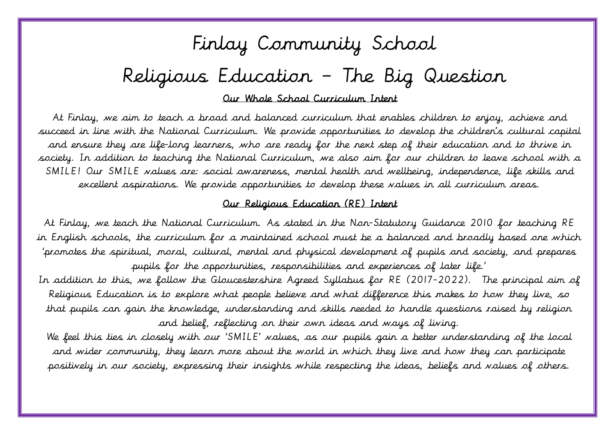# Finlay Community School Religious Education – The Big Question

Our Whole School Curriculum Intent

 At Finlay, we aim to teach a broad and balanced curriculum that enables children to enjoy, achieve and succeed in line with the National Curriculum. We provide opportunities to develop the children's cultural capital and ensure they are life-long learners, who are ready for the next step of their education and to thrive in society. In addition to teaching the National Curriculum, we also aim for our children to leave school with a SMILE! Our SMILE values are: social awareness, mental health and wellbeing, independence, life skills and excellent aspirations. We provide opportunities to develop these values in all curriculum areas.

#### Our Religious Education (RE) Intent

 At Finlay, we teach the National Curriculum. As stated in the Non-Statutory Guidance 2010 for teaching RE in English schools, the curriculum for a maintained school must be a balanced and broadly based one which 'promotes the spiritual, moral, cultural, mental and physical development of pupils and society, and prepares pupils for the opportunities, responsibilities and experiences of later life.'

 In addition to this, we follow the Gloucestershire Agreed Syllabus for RE (2017-2022). The principal aim of Religious Education is to explore what people believe and what difference this makes to how they live, so that pupils can gain the knowledge, understanding and skills needed to handle questions raised by religion and belief, reflecting on their own ideas and ways of living.

 We feel this ties in closely with our 'SMILE' values, as our pupils gain a better understanding of the local and wider community, they learn more about the world in which they live and how they can participate positively in our society, expressing their insights while respecting the ideas, beliefs and values of others.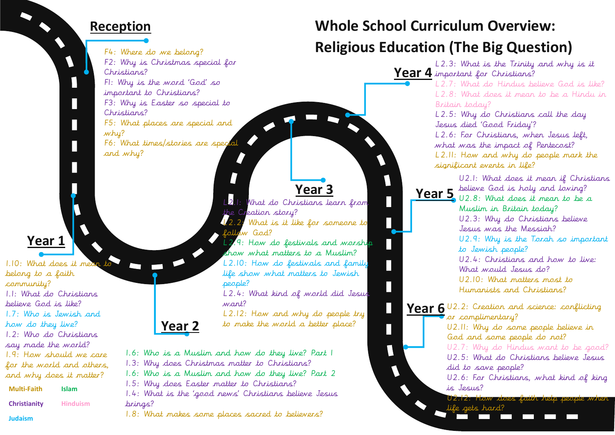#### **Reception**

V

 $\mathbf{I}$ 

F4: Where do we belong? F2: Why is Christmas special for Christians? F1: Why is the word 'God' so important to Christians? F3: Why is Easter so special to Christians? F5: What places are special and why? F6: What times/stories are special and why?

#### **Year 1**

1.10: What does it mean belong to a faith community? 1.1: What do Christians believe God is like? 1.7: Who is Jewish and how do they live? 1.2: Who do Christians say made the world? 1.9: How should we care for the *world* and others. and why does it matter?

| <b>Multi-Faith</b>  | <b>Islam</b>    |
|---------------------|-----------------|
| <b>Christianity</b> | <b>Hinduism</b> |

**Judaism** 

# L2.1: What do Christians learn from the Creation story? L2.2: What is it like for someone to follow God? L<sub>2.9</sub>: How do festivals and worship people? want?

show what matters to a Muslim? L2.10: How do festivals and family life show what matters to Jewish

 $\Box$ 

Н

 $\Box$ 

 $\overline{\phantom{a}}$ 

 $\blacklozenge$ 

L2.4: What kind of world did Jesus

L2.12: How and why do people try to make the world a better place?

1.6: Who is a Muslim and how do they live? Part 1

1.3: Why does Christmas matter to Christians?

1.6: Who is a Muslim and how do they live? Part 2

1.5: Why does Easter matter to Christians?

**Year 2**

1.4: What is the 'good news' Christians believe Jesus brings?

1.8: What makes some places sacred to believers?

## **Whole School Curriculum Overview: Religious Education (The Big Question)**

**Year 4** important for Christians? **Year 3**<br>**Year 5** *Year 5 Vear 5 V2.8: What does it mean to be a* **Year 6** U2.2: Creation and science: conflicting L2.3: What is the Trinity and why is it L2.7: What do Hindus believe God is like? L2.8: What does it mean to be a Hindu in Britain today? L2.5: Why do Christians call the day Jesus died 'Good Friday'? L2.6: For Christians, when Jesus left, what was the impact of Pentecost? L2.11: How and why do people mark the significant events in life? U2.1: What does it mean if Christians U2.8: What does it mean to be a Muslim in Britain today? U2.3: Why do Christians believe Jesus was the Messiah? U2.9: Why is the Torah so important to Jewish people? U2.4: Christians and how to live: What would Jesus do? U2.10: What matters most to Humanists and Christians?  $\bullet$  or complimentary? U2.11: Why do some people believe in God and some people do not? U2.7: Why do Hindus want to be good? U2.5: What do Christians believe Jesus did to save people? U2.6: For Christians, what kind of king is Jesus? U2.12: How does faith help people when life gets hard?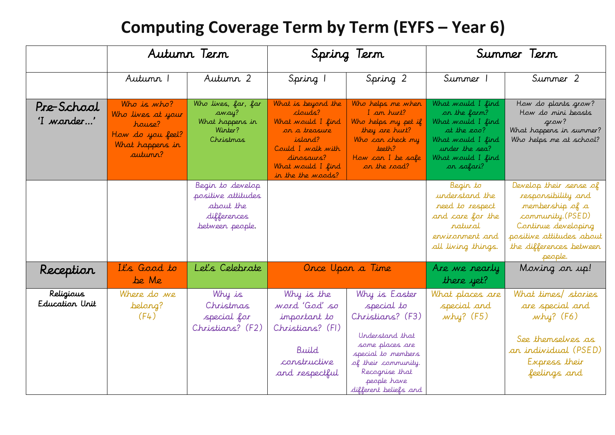## **Computing Coverage Term by Term (EYFS – Year 6)**

|                             |                                                                                              | Autunn Tern                                                                           |                                                                                                                                                                     | Spring Term                                                                                                                                                                                  | Summer Term                                                                                                                                             |                                                                                                                                                                              |  |
|-----------------------------|----------------------------------------------------------------------------------------------|---------------------------------------------------------------------------------------|---------------------------------------------------------------------------------------------------------------------------------------------------------------------|----------------------------------------------------------------------------------------------------------------------------------------------------------------------------------------------|---------------------------------------------------------------------------------------------------------------------------------------------------------|------------------------------------------------------------------------------------------------------------------------------------------------------------------------------|--|
|                             | Autumn 1                                                                                     | Autumn 2                                                                              | Spring 1                                                                                                                                                            | Spring 2                                                                                                                                                                                     | Summer 1                                                                                                                                                | Summer 2                                                                                                                                                                     |  |
| Pre-School<br>'I wonder'    | Who is who?<br>Who lives at your<br>house?<br>How do you feel?<br>What happens in<br>autumn? | Who lives, far, far<br>away?<br>What happens in<br>Winter?<br>Christmas               | What is beyond the<br>clouds?<br>What would I find<br>on a treasure<br>island?<br>Could I walk with<br>dinosaurs?<br>What would I find<br>in the the <i>woods</i> ? | Who helps me when<br>I am hurt?<br>Who helps my pet if<br>they are hurt?<br>Who can check my<br>teeth?<br>How can I be safe<br>on the road?                                                  | What would I find<br>on the farm?<br>What would I find<br>at the <b>zoo</b> ?<br>What would I find<br>under the sea?<br>What would I find<br>on safari? | How do plants grow?<br>How do mini beasts<br>grow?<br>What happens in summer?<br>Who helps me at school?                                                                     |  |
|                             |                                                                                              | Begin to develop<br>positive attitudes<br>about the<br>differences<br>between people. |                                                                                                                                                                     |                                                                                                                                                                                              | Begin to<br>understand the<br>need to respect<br>and care for the<br>ratural<br>environment and<br>all living things.                                   | Develop their sense of<br>responsibility and<br>membership of a<br>community.(PSED)<br>Continue developing<br>positive attitudes about<br>the differences between<br>people. |  |
| Reception                   | It's Good to<br>be Me                                                                        | Let's Celebrate                                                                       |                                                                                                                                                                     | Once Upon a Time                                                                                                                                                                             | Are we nearly<br>there yet?                                                                                                                             | Moving on up!                                                                                                                                                                |  |
| Religious<br>Education Unit | Where do we<br>belong?<br>(F4)                                                               | Why is<br>Christmas<br>special for<br>Christians? (F2)                                | Why is the<br>word 'God' so<br>important to<br>Christians? (FI)<br>Build<br>constructive<br>and respectful                                                          | Why is Easter<br>special to<br>Christians? (F3)<br>Understand that<br>some places are<br>special to members<br>of their community.<br>Recognise that<br>people have<br>different beliefs and | What places are<br>special and<br>why? (F5)                                                                                                             | What times/stories<br>are special and<br>why? (F6)<br>See themselves as<br>an individual (PSED)<br>Express their<br>feelings and                                             |  |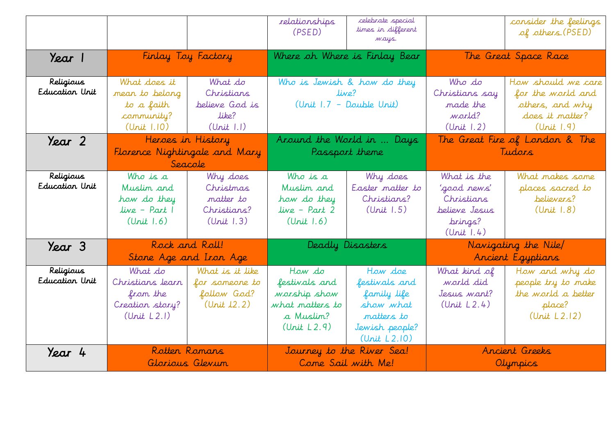|                             |                                                                           |                                                                 | relationships<br>(PSED)                                                                | celebrate special<br>times in different<br>ways.                                                     |                                                                                    | consider the feelings<br>of others. (PSED)                                                  |  |
|-----------------------------|---------------------------------------------------------------------------|-----------------------------------------------------------------|----------------------------------------------------------------------------------------|------------------------------------------------------------------------------------------------------|------------------------------------------------------------------------------------|---------------------------------------------------------------------------------------------|--|
| Year 1                      |                                                                           | Finlay Toy Factory                                              | Where oh Where is Finlay Bear                                                          |                                                                                                      |                                                                                    | The Great Space Race                                                                        |  |
| Religious<br>Education Unit | What does it<br>mean to belong<br>to a faith<br>community?<br>(Unit 1.10) | What do<br>Christians<br>believe God is<br>like?<br>(Unit 1.1)  | Who is Jewish & how do they<br>live?<br>(Unit 1.7 - Double Unit)                       |                                                                                                      | Who do<br>Christians say<br>made the<br>world?<br>(Unit 1.2)                       | How should we care<br>for the world and<br>others, and why<br>does it matter?<br>(Unit 1.9) |  |
| Year 2                      |                                                                           | Heroes in History<br>Florence Nightingale and Mary<br>Seacole   |                                                                                        | Around the World in  Days<br>Passport theme                                                          |                                                                                    | The Great Fire of London & The<br>Tudars                                                    |  |
| Religious<br>Education Unit | Who is a<br>Muslim and<br>how do they<br>live - Part I<br>(Unit 1.6)      | Why does<br>Christmas<br>matter to<br>Christians?<br>(Unit 1.3) | Who is a<br>Muslim and<br>how do they<br>$live - Part 2$<br>(Unit 1.6)                 | Why does<br>Easter matter to<br>Christians?<br>(Unit 1.5)                                            | What is the<br>'good rews'<br>Christians<br>believe Jesus<br>brings?<br>(Unit 1.4) | What makes some<br>places sacred to<br>believers?<br>(Unit 1.8)                             |  |
| Year 3                      |                                                                           | Rock and Roll!<br>Stone Age and Iron Age                        |                                                                                        | Deadly Disasters                                                                                     |                                                                                    | Navigating the Nile<br>Ancient Egyptians                                                    |  |
| Religious<br>Education Unit | What do<br>Christians learn<br>from the<br>Creation story?<br>(Unit L2.1) | What is it like<br>for someone to<br>follow God?<br>(Unit 12.2) | How do<br>festivals and<br>warship show<br>what matters to<br>a Muslim?<br>(Unit L2.9) | How doe<br>festivals and<br>family life<br>show what<br>matters to<br>Jewish people?<br>(Unit L2.10) | What kind of<br>world did<br>Jesus want?<br>(Unit L2.4)                            | How and why do<br>people try to make<br>the world a better<br>place?<br>(Unit L2.12)        |  |
| Year 4                      |                                                                           | Rotten Romans<br>Glorious Glevum                                |                                                                                        | Journey to the River Sea!<br>Come Sail with Me!                                                      | Ancient Greeks<br>Olympics                                                         |                                                                                             |  |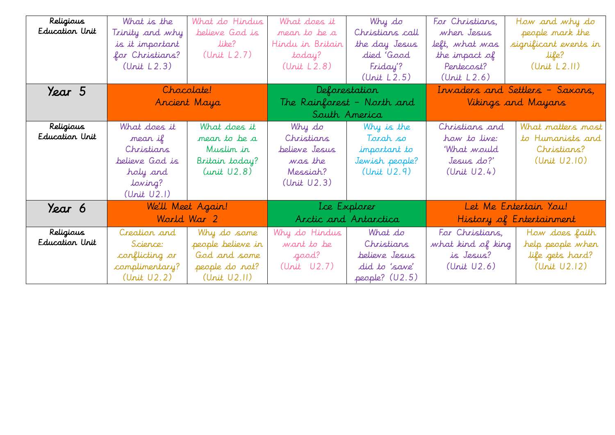| Religious      | What is the     | What do Hindus    | What does it     | Why do                     | For Christians,                 | How and why do           |  |  |
|----------------|-----------------|-------------------|------------------|----------------------------|---------------------------------|--------------------------|--|--|
| Education Unit | Trinity and why | believe God is    | mear to be a     | Christians call            | when Jesus                      | people mark the          |  |  |
|                | is it important | like?             | Hindu in Britain | the day Jesus              | left, what was                  | significant events in    |  |  |
|                | for Christians? | (Unit L2.7)       | today?           | died 'Good                 | the impact of                   | life?                    |  |  |
|                | (Unit L2.3)     |                   | (Unit L2.8)      | Friday'?                   | Pentecost?                      | (Unit L2.11)             |  |  |
|                |                 |                   |                  | (Unit L2.5)                | (Unit L2.6)                     |                          |  |  |
| Year 5         | Chocolate!      |                   |                  | Deforestation              | Invaders and Settlers - Saxons, |                          |  |  |
|                |                 | Ancient Maya      |                  | The Rainforest - North and | Vikings and Mayans              |                          |  |  |
|                |                 |                   |                  | South America              |                                 |                          |  |  |
| Religious      | What does it    | What does it      | Why do           | Why is the                 | Christians and                  | What matters most        |  |  |
| Education Unit | mear if         | mean to be a      | Christians       | Tarah so                   | how to live:                    | to Humanists and         |  |  |
|                | Christians      | Muslin in         | believe Jesus    | important to               | 'What would                     | Christians?              |  |  |
|                | believe God is  | Britain today?    | was the          | Jewish people?             | Jesus do?'                      | (Unit U2.10)             |  |  |
|                | holy and        | (unit U2.8)       | Messiah?         | (Unit U2.9)                | (Unit U2.4)                     |                          |  |  |
|                | loving?         |                   | (Unit U2.3)      |                            |                                 |                          |  |  |
|                | (Unit U2.1)     |                   |                  |                            |                                 |                          |  |  |
| Year 6         |                 | We'll Meet Again! |                  | Lce Explorer               |                                 | Let Me Entertain You!    |  |  |
|                | World War 2     |                   |                  | Arctic and Antarctica      |                                 | History of Entertainment |  |  |
| Religious      | Creation and    | Why do some       | Why do Hindus    | What do                    | For Christians,                 | How does faith           |  |  |
| Education Unit | Science:        | people believe in | want to be       | Christians                 | what kind of king               | help people when         |  |  |
|                | conflicting or  | God and some      | good?            | believe Jesus              | is Jesus?                       | life gets hard?          |  |  |
|                | complimentary?  | people do not?    | (Unit U2.7)      | did to 'save'              | (Unit U2.6)                     | (Unit U2.12)             |  |  |
|                | (Unit U2.2)     | (Unit U2.11)      |                  | people? (U2.5)             |                                 |                          |  |  |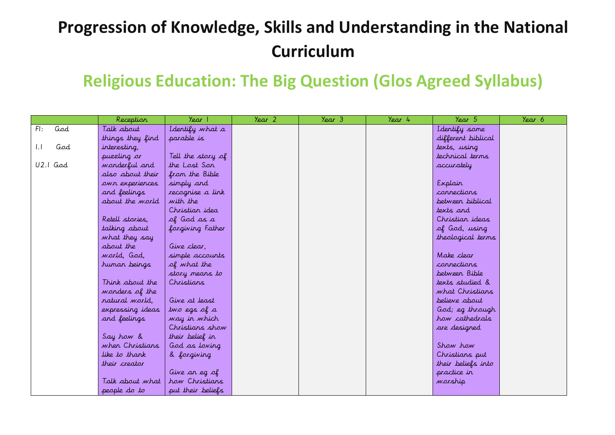# **Progression of Knowledge, Skills and Understanding in the National Curriculum**

### **Religious Education: The Big Question (Glos Agreed Syllabus)**

|            | Reception        | Year 1            | Year 2 | Year 3 | Year 4 | Year 5             | Year 6 |
|------------|------------------|-------------------|--------|--------|--------|--------------------|--------|
| FI:<br>God | Talk about       | I dentify what a  |        |        |        | I dentify some     |        |
|            | things they find | parable is        |        |        |        | different biblical |        |
| God<br>1.1 | interesting,     |                   |        |        |        | texts, using       |        |
|            | puzzling or      | Tell the story of |        |        |        | technical terms    |        |
| $U2.1$ God | wonderful and    | the Lost Son      |        |        |        | accurately         |        |
|            | also about their | from the Bible    |        |        |        |                    |        |
|            | own experiences  | simply and        |        |        |        | Explain            |        |
|            | and feelings     | recognise a link  |        |        |        | connections        |        |
|            | about the world  | with the          |        |        |        | between biblical   |        |
|            |                  | Christian idea    |        |        |        | texts and          |        |
|            | Retell stories,  | of God as a       |        |        |        | Christian ideas    |        |
|            | talking about    | forgiving Father  |        |        |        | of God, using      |        |
|            | what they say    |                   |        |        |        | theological terms  |        |
|            | about the        | Give clear,       |        |        |        |                    |        |
|            | world, God,      | simple accounts   |        |        |        | Make clear         |        |
|            | human beings     | of what the       |        |        |        | connections        |        |
|            |                  | story means to    |        |        |        | between Bible      |        |
|            | Think about the  | Christians        |        |        |        | texts studied &    |        |
|            | wonders of the   |                   |        |        |        | what Christians    |        |
|            | natural world,   | Give at least     |        |        |        | believe about      |        |
|            | expressing ideas | two egs of a      |        |        |        | God; eg through    |        |
|            | and feelings     | way in which      |        |        |        | how cathedrals     |        |
|            |                  | Christians show   |        |        |        | are designed       |        |
|            | Say how &        | their belief in   |        |        |        |                    |        |
|            | when Christians  | God as loving     |        |        |        | Show how           |        |
|            | like to thank    | & forgiving       |        |        |        | Christians put     |        |
|            | their creator    |                   |        |        |        | their beliefs into |        |
|            |                  | Give an eg of     |        |        |        | practice in        |        |
|            | Talk about what  | how Christians    |        |        |        | warship            |        |
|            | people do to     | put their beliefs |        |        |        |                    |        |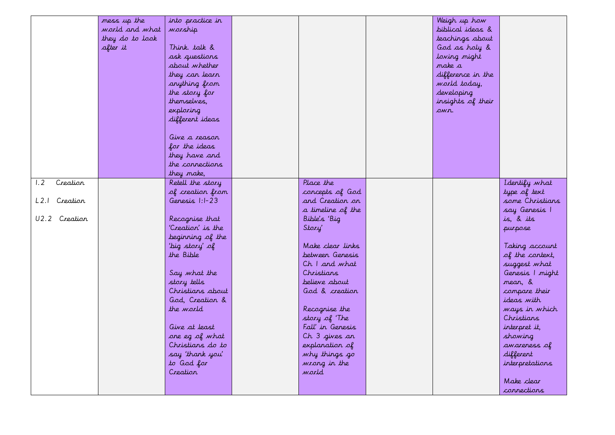|                 | mess up the     | into practice in  |                   | Weigh up how      |                 |
|-----------------|-----------------|-------------------|-------------------|-------------------|-----------------|
|                 | world and what  | warship           |                   | biblical ideas &  |                 |
|                 | they do to look |                   |                   | teachings about   |                 |
|                 | after it        | Think. talk &     |                   | God as holy &     |                 |
|                 |                 | ask questions     |                   | loving might      |                 |
|                 |                 | about whether     |                   | make a            |                 |
|                 |                 | they can learn    |                   | difference in the |                 |
|                 |                 | anything from     |                   | world today,      |                 |
|                 |                 | the story for     |                   | developing        |                 |
|                 |                 | themselves,       |                   | insights of their |                 |
|                 |                 | exploring         |                   | own.              |                 |
|                 |                 | different ideas   |                   |                   |                 |
|                 |                 |                   |                   |                   |                 |
|                 |                 | Give a reason     |                   |                   |                 |
|                 |                 | for the ideas     |                   |                   |                 |
|                 |                 | they have and     |                   |                   |                 |
|                 |                 | the connections   |                   |                   |                 |
|                 |                 | they make,        |                   |                   |                 |
| Creation<br>1.2 |                 | Retell the story  | Place the         |                   | Identify what   |
|                 |                 | of creation from  | concepts of God   |                   | type of text    |
| L2.1 Creation   |                 | Genesis 1:1-23    | and Creation on   |                   | some Christians |
|                 |                 |                   | a timeline of the |                   | say Genesis 1   |
| U2.2 Creation   |                 | Recognise that    | Bible's 'Big      |                   | is, & its       |
|                 |                 | 'Creation' is the | Story'            |                   | purpose         |
|                 |                 | beginning of the  |                   |                   |                 |
|                 |                 | 'big story' of    | Make clear links  |                   | Taking account  |
|                 |                 | the Bible         | betweer Genesis   |                   | of the context, |
|                 |                 |                   | Ch I and what     |                   | suggest what    |
|                 |                 | Say what the      | Christians        |                   | Genesis   might |
|                 |                 | story tells       | believe about     |                   | mean, &         |
|                 |                 | Christians about  | God & creation    |                   | compare their   |
|                 |                 | God, Creation &   |                   |                   | ideas with      |
|                 |                 | the world         | Recognise the     |                   | ways in which   |
|                 |                 |                   | story of The      |                   | Christians      |
|                 |                 | Give at least     | Fall' in Genesis  |                   | interpret it,   |
|                 |                 | one eg of what    | Ch 3 gives an     |                   | showing         |
|                 |                 | Christians do to  | explanation of    |                   | awareness of    |
|                 |                 | say 'thank you'   | why things go     |                   | different       |
|                 |                 | to God for        | wrong in the      |                   | interpretations |
|                 |                 | Creation          | warld             |                   |                 |
|                 |                 |                   |                   |                   | Make clear      |
|                 |                 |                   |                   |                   | connections     |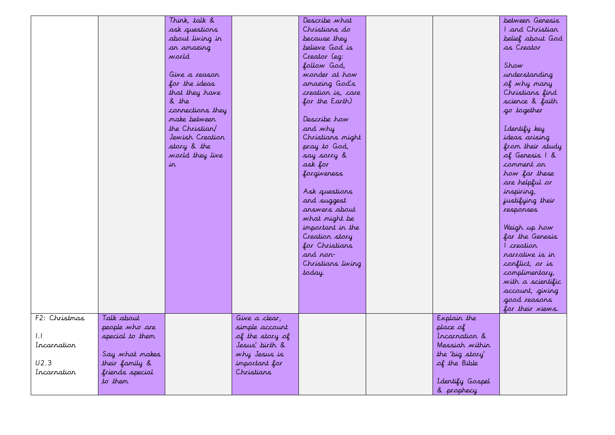|               |                 | Think, talk &    |                 | Describe what     |                 | between Genesis   |
|---------------|-----------------|------------------|-----------------|-------------------|-----------------|-------------------|
|               |                 | ask questions    |                 | Christians do     |                 | I and Christian   |
|               |                 | about living in  |                 | because they      |                 | belief about God  |
|               |                 | an amazing       |                 | believe God is    |                 | as Creator        |
|               |                 | warld            |                 | Creator (eg:      |                 |                   |
|               |                 |                  |                 | follow God,       |                 | Show              |
|               |                 | Give a reason    |                 | wonder at how     |                 | understanding     |
|               |                 | for the ideas    |                 | amazing God's     |                 | of why many       |
|               |                 | that they have   |                 | creation is, care |                 | Christians find   |
|               |                 | & the            |                 | for the Earth)    |                 | science & faith   |
|               |                 | connections they |                 |                   |                 | go together       |
|               |                 | make between     |                 | Describe how      |                 |                   |
|               |                 | the Christian    |                 | and why           |                 | I dentify key     |
|               |                 | Jewish Creation  |                 | Christians might  |                 | ideas arising     |
|               |                 | story & the      |                 | pray to God,      |                 | from their study  |
|               |                 | world they live  |                 | say sarry &       |                 | of Genesis 1 &    |
|               |                 | in.              |                 | ask for           |                 | comment on        |
|               |                 |                  |                 | forgiveness       |                 | how far these     |
|               |                 |                  |                 |                   |                 | are helpful or    |
|               |                 |                  |                 |                   |                 |                   |
|               |                 |                  |                 | Ask questions     |                 | inspiring,        |
|               |                 |                  |                 | and suggest       |                 | justifying their  |
|               |                 |                  |                 | answers about     |                 | responses         |
|               |                 |                  |                 | what might be     |                 |                   |
|               |                 |                  |                 | important in the  |                 | Weigh up how      |
|               |                 |                  |                 | Creation story    |                 | far the Genesis   |
|               |                 |                  |                 | for Christians    |                 | L creation        |
|               |                 |                  |                 | and non-          |                 | ranative is in    |
|               |                 |                  |                 | Christians living |                 | conflict, or is   |
|               |                 |                  |                 | today.            |                 | complimentary,    |
|               |                 |                  |                 |                   |                 | with a scientific |
|               |                 |                  |                 |                   |                 | account, giving   |
|               |                 |                  |                 |                   |                 | good reasons      |
|               |                 |                  |                 |                   |                 | for their views.  |
| F2: Christmas | Talk about      |                  | Give a clear,   |                   | Explain the     |                   |
|               | people who are  |                  | simple account  |                   | place of        |                   |
| $  \cdot  $   | special to them |                  | of the story of |                   | Incarnation &   |                   |
| Incarnation   |                 |                  | Jesus' birth &  |                   | Messiah within  |                   |
|               | Say what makes  |                  | why Jesus is    |                   | the 'big story' |                   |
| U2.3          | their family &  |                  | important for   |                   | of the Bible    |                   |
| Incarnation   | friends special |                  | Christians      |                   |                 |                   |
|               | to them         |                  |                 |                   | Identify Gospel |                   |
|               |                 |                  |                 |                   | & prophecy      |                   |
|               |                 |                  |                 |                   |                 |                   |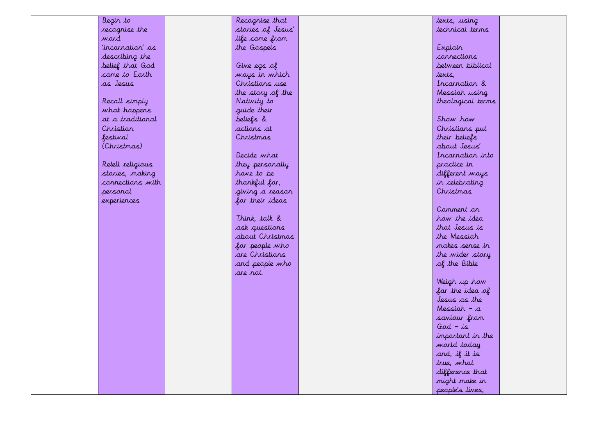| Begin to         | Recognise that    |  | texts, using      |  |
|------------------|-------------------|--|-------------------|--|
| recognise the    | stories of Jesus' |  | technical terms   |  |
| ward             | life come from    |  |                   |  |
| 'incarnation' as | the Gospels       |  | Explain           |  |
| describing the   |                   |  | connections       |  |
| belief that God  | Give egs of       |  | betweer biblical  |  |
| came to Earth    | ways in which     |  | texts,            |  |
| as Jesus         | Christians use    |  | Incarnation &     |  |
|                  | the story of the  |  | Messiah using     |  |
| Recall simply    | Nativity to       |  | theological terms |  |
| what happens     | guide their       |  |                   |  |
| at a traditional | beliefs &         |  | Show how          |  |
| Christian        | actions at        |  | Christians put    |  |
| festival         | Christmas         |  | their beliefs     |  |
| (Christmas)      |                   |  | about Jesus'      |  |
|                  | Decide what       |  | Incarnation into  |  |
| Retell religious | they personally   |  | practice in       |  |
| stories, making  | have to be        |  | different ways    |  |
| connections with | thankful for,     |  | in celebrating    |  |
| personal         | giving a reason   |  | Christmas         |  |
| experiences      | for their ideas   |  |                   |  |
|                  |                   |  | Comment on        |  |
|                  | Think, talk &     |  | how the idea      |  |
|                  | ask questions     |  | that Jesus is     |  |
|                  | about Christmas   |  | the Messiah       |  |
|                  | for people who    |  | makes serse ir    |  |
|                  | are Christians    |  | the wider story   |  |
|                  | and people who    |  | of the Bible      |  |
|                  | are rot.          |  |                   |  |
|                  |                   |  | Weigh up how      |  |
|                  |                   |  | far the idea of   |  |
|                  |                   |  | Jesus as the      |  |
|                  |                   |  | Messiah – a       |  |
|                  |                   |  | saviour from      |  |
|                  |                   |  | $God - is$        |  |
|                  |                   |  | important in the  |  |
|                  |                   |  | world today       |  |
|                  |                   |  | and, if it is     |  |
|                  |                   |  | true, what        |  |
|                  |                   |  | difference that   |  |
|                  |                   |  | might make in     |  |
|                  |                   |  | people's lives,   |  |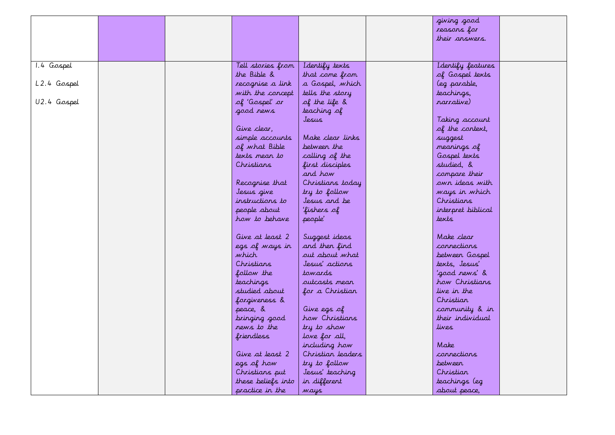|             |  |                    |                       | giving good        |  |
|-------------|--|--------------------|-----------------------|--------------------|--|
|             |  |                    |                       | reasons for        |  |
|             |  |                    |                       | their answers.     |  |
|             |  |                    |                       |                    |  |
|             |  |                    |                       |                    |  |
| 1.4 Gospel  |  | Tell stories from  | I dentify texts       | Identify features  |  |
|             |  | the Bible &        | that come from        | of Gospel texts    |  |
| L2.4 Gospel |  | recognise a link   | a Gospel, which       | (eg parable,       |  |
|             |  | with the concept   | tells the story       | teachings,         |  |
| U2.4 Gospel |  | of 'Gospel' or     | of the life &         | narrative)         |  |
|             |  | good rews          | teaching of           |                    |  |
|             |  |                    | Jesus                 | Taking account     |  |
|             |  | Give clear,        |                       | of the context,    |  |
|             |  | simple accounts    | Make clear links      | suggest            |  |
|             |  | of what Bible      | betweer the           | meanings of        |  |
|             |  | texts mear to      | calling of the        | Gospel texts       |  |
|             |  | Christians         | first disciples       | studied, &         |  |
|             |  |                    | and how               | compare their      |  |
|             |  | Recognise that     | Christians today      | own ideas with     |  |
|             |  | Jesus give         | try to follow         | ways in which      |  |
|             |  | instructions to    | Jesus and be          | Christians         |  |
|             |  | people about       | 'fishers of           | interpret biblical |  |
|             |  | how to behave      | people'               | texts              |  |
|             |  |                    |                       |                    |  |
|             |  | Give at least 2    | Suggest ideas         | Make clear         |  |
|             |  | egs of ways in     | and then find         | connections        |  |
|             |  | which'             | out about what        | between Gospel     |  |
|             |  | Christians         | Jesus' actions        | texts, Jesus'      |  |
|             |  | follow the         | towards               | 'good news' &      |  |
|             |  | <i>teachings</i>   | <i>ou</i> tcasts mear | how Christians     |  |
|             |  | studied about      | for a Christian       | live in the        |  |
|             |  | forgiveness &      |                       | Christian          |  |
|             |  | peace, &           | Give egs of           | community & in     |  |
|             |  | bringing good      | how Christians        | their individual   |  |
|             |  | news to the        | try to show           | lives              |  |
|             |  | friendless         | love for all,         |                    |  |
|             |  |                    | including how         | Make               |  |
|             |  | Give at least 2    | Christian leaders     | connections        |  |
|             |  | egs of how         | try to follow         | between            |  |
|             |  | Christians put     | Jesus' teaching       | Christiar          |  |
|             |  | these beliefs into | in different          | teachings (eg      |  |
|             |  | practice in the    | ways                  | about peace,       |  |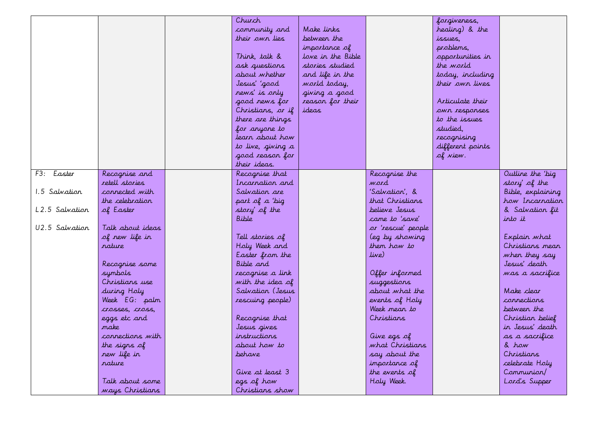|                |                  | Church            |                   |                    | forgiveness,     |                   |
|----------------|------------------|-------------------|-------------------|--------------------|------------------|-------------------|
|                |                  | community and     | Make links        |                    | healing) & the   |                   |
|                |                  | their own lies    | betweer the       |                    | issues,          |                   |
|                |                  |                   | importance of     |                    | problems,        |                   |
|                |                  | Think, talk &     | love in the Bible |                    | opportunities in |                   |
|                |                  | ask questions     | stories studied   |                    | the world        |                   |
|                |                  | about whether     | and life in the   |                    | today, including |                   |
|                |                  | Jesus' 'good      | world today,      |                    | their owr lives  |                   |
|                |                  | rews' is orly     | giving a good     |                    |                  |                   |
|                |                  | good rews for     | reason for their  |                    | Articulate their |                   |
|                |                  | Christians, or if | ideas             |                    | own responses    |                   |
|                |                  | there are things  |                   |                    | to the issues    |                   |
|                |                  | for anyone to     |                   |                    | studied.         |                   |
|                |                  | learn about how   |                   |                    | recognising      |                   |
|                |                  | to live, giving a |                   |                    | different points |                   |
|                |                  | good reason for   |                   |                    | of view.         |                   |
|                |                  | their ideas.      |                   |                    |                  |                   |
| F3: Easter     | Recognise and    | Recognise that    |                   | Recognise the      |                  | Outline the 'big  |
|                | retell stories   | Incarration and   |                   | word               |                  |                   |
| 1.5 Salvation  | connected with   |                   |                   |                    |                  | story' of the     |
|                |                  | Salvation are     |                   | 'Salvation', &     |                  | Bible, explaining |
|                | the celebration  | part of a 'big    |                   | that Christians    |                  | how Incarnation   |
| L2.5 Salvation | of Easter        | story' of the     |                   | believe Jesus      |                  | & Salvation fit   |
|                |                  | Bible             |                   | came to 'save'     |                  | into it           |
| U2.5 Salvation | Talk about ideas |                   |                   | or 'rescue' people |                  |                   |
|                | of new life in   | Tell stories of   |                   | (eg by showing     |                  | Explain what      |
|                | rature           | Holy Week and     |                   | them how to        |                  | Christians mean   |
|                |                  | Easter from the   |                   | live)              |                  | when they say     |
|                | Recognise some   | Bible and         |                   |                    |                  | Jesus' death      |
|                | symbols          | recognise a link  |                   | Offer informed     |                  | was a sacrifice   |
|                | Christians use   | with the idea of  |                   | suggestions        |                  |                   |
|                | during Holy      | Salvation (Jesus  |                   | about what the     |                  | Make clear        |
|                | Week EG: palm    | rescuing people)  |                   | events of Holy     |                  | connections       |
|                | crosses, cross,  |                   |                   | Week mean to       |                  | betweer the       |
|                | eggs etc and     | Recognise that    |                   | Christians         |                  | Christian belief  |
|                | make             | Jesus gives       |                   |                    |                  | in Jesus' death   |
|                | connections with | instructions      |                   | Give egs of        |                  | as a sacrifice    |
|                | the signs of     | about how to      |                   | what Christians    |                  | & how             |
|                | new life in      | behave            |                   | say about the      |                  | Christians        |
|                | rature           |                   |                   | importance of      |                  | celebrate Holy    |
|                |                  | Give at least 3   |                   | the events of      |                  | Communion/        |
|                | Talk about some  | egs of how        |                   | Holy Week.         |                  | Lord's Supper     |
|                | ways Christians  | Christians show   |                   |                    |                  |                   |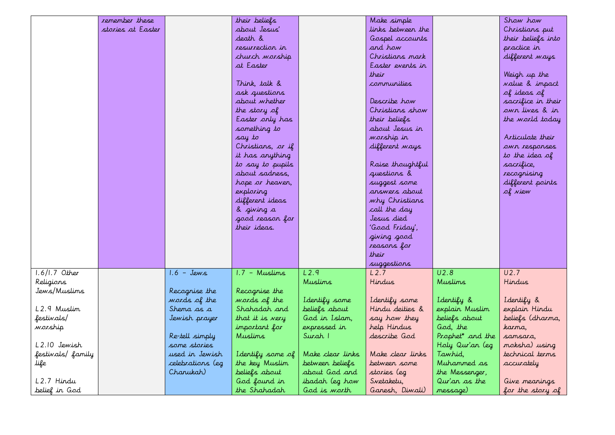|                  | remember these    |                  | their beliefs     |                  | Make simple       |                              | Show how              |
|------------------|-------------------|------------------|-------------------|------------------|-------------------|------------------------------|-----------------------|
|                  | stories at Easter |                  | about Jesus'      |                  | links between the |                              | Christians put        |
|                  |                   |                  | death &           |                  | Gospel accounts   |                              | their beliefs into    |
|                  |                   |                  | resurrection in   |                  | and how           |                              | practice in           |
|                  |                   |                  | church warship    |                  | Christians mark   |                              | different ways        |
|                  |                   |                  | at Easter         |                  | Easter events in  |                              |                       |
|                  |                   |                  |                   |                  | their             |                              | Weigh up the          |
|                  |                   |                  | Think, talk &     |                  | communities       |                              | <i>value</i> & impact |
|                  |                   |                  | ask questions     |                  |                   |                              | of ideas of           |
|                  |                   |                  | about whether     |                  | Describe how      |                              | sacrifice in their    |
|                  |                   |                  | the story of      |                  | Christians show   |                              | own lives & in        |
|                  |                   |                  | Easter only has   |                  | their beliefs     |                              | the world today       |
|                  |                   |                  | something to      |                  | about Jesus in    |                              |                       |
|                  |                   |                  | say to            |                  | worship in        |                              | Articulate their      |
|                  |                   |                  | Christians, or if |                  | different ways    |                              | own responses         |
|                  |                   |                  | it has anything   |                  |                   |                              | to the idea of        |
|                  |                   |                  | to say to pupils  |                  | Raise thoughtful  |                              | sacrifice,            |
|                  |                   |                  | about sadress,    |                  | questions &       |                              | recognising           |
|                  |                   |                  | hope or heaven,   |                  | suggest some      |                              | different points      |
|                  |                   |                  | exploring         |                  | answers about     |                              | of view               |
|                  |                   |                  | different ideas   |                  | why Christians    |                              |                       |
|                  |                   |                  | & giving a        |                  | call the day      |                              |                       |
|                  |                   |                  | good reason for   |                  | Jesus died        |                              |                       |
|                  |                   |                  | their ideas.      |                  | 'Good Friday',    |                              |                       |
|                  |                   |                  |                   |                  | giving good       |                              |                       |
|                  |                   |                  |                   |                  | reasons for       |                              |                       |
|                  |                   |                  |                   |                  | their             |                              |                       |
|                  |                   |                  |                   |                  | suggestions       |                              |                       |
| $1.6/1.7$ Other  |                   | $1.6 - Jews$     | $1.7 -$ Muslims   | L2.9             | L2.7              | U2.8                         | U2.7                  |
| Religions        |                   |                  |                   | <b>Muslims</b>   | Hindus            | <b>Muslims</b>               | Hindus                |
| Jews/Muslims     |                   | Recognise the    | Recognise the     |                  |                   |                              |                       |
|                  |                   | words of the     | words of the      | I dentify some   | I dentify some    | I dentify &                  | Identify &            |
| L2.9 Muslim      |                   | Shema as a       | Shahadah and      | beliefs about    | Hindu deities &   | explain Muslim               | explain Hindu         |
| festivals/       |                   | Jewish prayer    | that it is very   | God in Islam,    | say how they      | beliefs about                | beliefs (dharma,      |
| warship          |                   |                  | important for     | expressed in     | help Hindus       | God, the                     | karma.                |
|                  |                   | Re-tell simply   | <b>Muslims</b>    | Surah 1          | describe God      | Prophet <sup>*</sup> and the | samsara,              |
| L2.10 Jewish     |                   | some stories     |                   |                  |                   | Holy Qur'an (eg              | moksha) using         |
| festivals/family |                   | used in Jewish   | I dentify some of | Make clear links | Make clear links  | Tawhid,                      | technical terms       |
| life             |                   | celebrations (eg | the key Muslim    | between beliefs  | between some      | Muhammed as                  | accurately            |
|                  |                   | Chanukah)        | beliefs about     | about God and    | stories (eg       | the Messenger,               |                       |
| L2.7 Hindu       |                   |                  | God found in      | ibadah (eg how   | Svetaketu,        | Qur'an as the                | Give meanings         |
| belief in God    |                   |                  | the Shahadah      | God is worth     | Ganesh, Diwali)   | message)                     | for the story of      |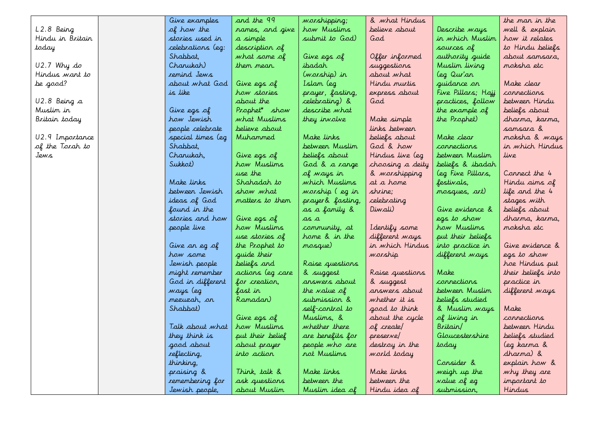|                  | Give examples       | and the 99          | worshipping;      | & what Hindus    |                      | the man in the     |
|------------------|---------------------|---------------------|-------------------|------------------|----------------------|--------------------|
| L2.8 Being       | of how the          | names, and give     | how Muslims       | believe about    | Describe <i>ways</i> | well & explain     |
| Hindu in Britain | stories used in     | a simple            | submit to God)    | God              | in which Muslim      | how it relates     |
| today            | celebrations (eg:   | description of      |                   |                  | sources of           | to Hindu beliefs   |
|                  | Shabbat.            | what some of        | Give egs of       | Offer informed   | authority guide      | about samsara.     |
| $U2.7$ Why do    | Chanukah)           | them mear.          | ibadah            | suggestions      | Muslim living        | moksha etc         |
| Hindus want to   | remind Jews         |                     | (warship) in      | about what       | leg Qur'an           |                    |
| he good?         | about what God      | Give egs of         | Islam (eg         | Hindu murtis     | guidance on          | Make clear         |
|                  | is like             | how stories         | prayer, fasting,  | express about    | Five Pillars; Hajj   | connections        |
| U2.8 Being a     |                     | about the           | celebrating) &    | God              | practices, follow    | betweer Hindu      |
| Muslim in        | Give egs of         | Prophet* show       | describe what     |                  | the example of       | beliefs about      |
| Britain today    | how Jewish          | what Muslims        | they involve      | Make simple      | the Prophet)         | dharma, karma,     |
|                  | people celebrate    | believe about       |                   | links between    |                      | sansara &          |
| U2.9 Importance  | special times (eg   | Muhammed            | Make links        | beliefs about    | Make clear           | moksha & ways      |
| of the Torah to  | Shabbat,            |                     | between Muslim    | God & how        | connections          | in which Hindus    |
| Jews             | Chanukah,           | Give egs of         | beliefs about     | Hindus live (eg  | betweer Muslim       | live               |
|                  | Sukkot)             | how Muslims         | God & a range     | choosing a deity | beliefs & ibadah     |                    |
|                  |                     | use the             | of ways in        | & warshipping    | (eg Five Pillars,    | Connect the 4      |
|                  | Make Jinks          | Shahadah <i>t</i> o | which Muslims     | at a home        | festivals,           | Hindu aims of      |
|                  | between Jewish      | show what           | worship (eg in    | shrine:          | mosques, art)        | life and the 4     |
|                  | ideas of God        | matters to them     | prayer & fasting, | celebrating      |                      | stages with        |
|                  | found in the        |                     | as a family &     | Diwali)          | Give evidence &      | beliefs about      |
|                  | stories and how     | Give egs of         | as a              |                  | egs to show          | dharma, karma,     |
|                  | people live         | how Muslims         | community, at     | I dentify some   | how Muslims          | moksha etc         |
|                  |                     | use stories of      | home & in the     | different ways   | put their beliefs    |                    |
|                  | Give an eg of       | the Prophet to      | mosque)           | in which Hindus  | into practice in     | Give evidence &    |
|                  | how some            | guide their         |                   | warship          | different ways       | egs to show        |
|                  | Jewish people       | beliefs and         | Raise questions   |                  |                      | hoe Hindus put     |
|                  | might remember      | actions (eg care    | & suggest         | Raise questions  | Make                 | their beliefs into |
|                  | God in different    | for creation,       | answers about     | & suggest        | connections          | practice in        |
|                  | ways (eg            | fast in             | the value of      | answers about    | between Muslim       | different ways     |
|                  | mezuzah, <i>o</i> r | Ramadan)            | submission &      | whether it is    | beliefs studied      |                    |
|                  | Shabbat)            |                     | self-control to   | good to think    | & Muslim ways        | Make               |
|                  |                     | Give egs of         | Muslims, &        | about the cycle  | of living in         | connections        |
|                  | Talk about what     | how Muslims         | whether there     | of create/       | Britain/             | betweer Hindu      |
|                  | they think is       | put their belief    | are benefits for  | preserve/        | Gloucestershire      | beliefs studied    |
|                  | good about          | about prayer        | people who are    | destroy in the   | today                | (eg karma &        |
|                  | reflecting,         | into action         | rot Muslims       | world today      |                      | dharma) &          |
|                  | thinking,           |                     |                   |                  | Consider &           | explain how &      |
|                  | praising &          | Think, talk &       | Make links        | Make links       | weigh up the         | why they are       |
|                  | remembering for     | ask questions       | betweer the       | between the      | value of eg          | important to       |
|                  | Jewish people,      | about Muslim        | Muslim idea of    | Hindu idea of    | submission,          | Hindus             |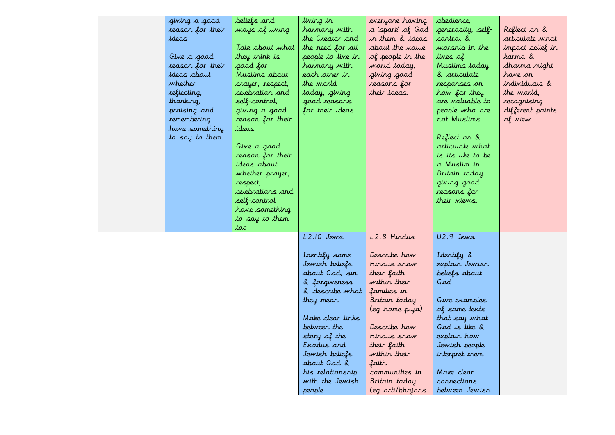|  | giving a good<br>reason for their<br>ideas<br>Give a good<br>reason for their<br>ideas about<br>whether | beliefs and<br>ways of living<br>Talk about what<br>they think is<br>good for<br>Muslims about<br>prayer, respect,                             | living in<br>harmony with<br>the Creator and<br>the need for all<br>people to live in<br>harmony with<br>each other in<br>the world     | everyone having<br>a 'spark' of God<br>in them & ideas<br>about the value<br>of people in the<br>world today,<br>giving good<br>reasons for | obedience,<br>generosity, self-<br>control &<br>worship in the<br>lives of<br>Muslims today<br>& articulate<br>responses an | Reflect on &<br>articulate what<br>impact belief in<br>karma &<br>dharma might<br>have on<br>individuals & |
|--|---------------------------------------------------------------------------------------------------------|------------------------------------------------------------------------------------------------------------------------------------------------|-----------------------------------------------------------------------------------------------------------------------------------------|---------------------------------------------------------------------------------------------------------------------------------------------|-----------------------------------------------------------------------------------------------------------------------------|------------------------------------------------------------------------------------------------------------|
|  | reflecting,<br>thanking,<br>praising and<br>remembering<br>have something<br>to say to them.            | celebration and<br>self-control,<br>giving a good<br>reason for their<br>ideas<br>Give a good                                                  | today, giving<br>good reasons<br>for their ideas.                                                                                       | their ideas.                                                                                                                                | how far they<br>are valuable to<br>people who are<br>rot Muslims<br>Reflect on &<br>articulate what                         | the world,<br>recognising<br>different points<br>of view                                                   |
|  |                                                                                                         | reason for their<br>ideas about<br>whether prayer,<br>respect,<br>celebrations and<br>self-control<br>have something<br>to say to them<br>too. |                                                                                                                                         |                                                                                                                                             | is its like to be<br>a Muslim in<br>Britain today<br>giving good<br>reasons for<br>their views.                             |                                                                                                            |
|  |                                                                                                         |                                                                                                                                                | $L2.10$ Jews<br>I dentify some<br>Jewish beliefs<br>about God, sin<br>& forgiveness<br>& describe what<br>they mean<br>Make clear links | L2.8 Hindus<br>Describe how<br>Hindus show<br>their faith<br>within their<br>families in<br>Britain today<br>(eg home puja)                 | U2.9 Jews<br>I dentify &<br>explain Jewish<br>beliefs about<br>God<br>Give examples<br>of some texts<br>that say what       |                                                                                                            |
|  |                                                                                                         |                                                                                                                                                | betweer the<br>story of the<br>Exodus and<br>Jewish beliefs<br>about God &<br>his relationship<br>with the Jewish<br>people             | Describe how<br>Hindus show<br>their faith<br>within their<br>faith<br>communities in<br>Britain today<br>(eg arti/bhajans                  | God is like &<br>explain how<br>Jewish people<br>interpret them<br>Make clear<br>connections<br>betweer Jewish              |                                                                                                            |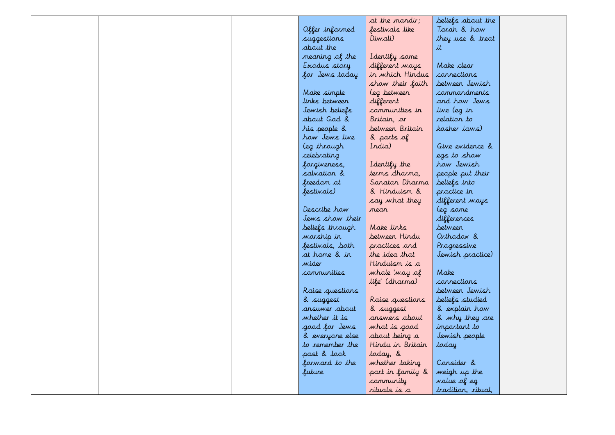|  |  |                 | at the mandir;   | beliefs about the  |  |
|--|--|-----------------|------------------|--------------------|--|
|  |  | Offer informed  | festivals like   | Tarah & haw        |  |
|  |  | suggestions     | Diwali)          | they use & treat   |  |
|  |  | about the       |                  | it                 |  |
|  |  | meaning of the  | I dentify some   |                    |  |
|  |  | Exodus story    | different ways   | Make clear         |  |
|  |  | for Jews today  | in which Hindus  | connections        |  |
|  |  |                 | show their faith | betweer Jewish     |  |
|  |  | Make simple     | (eg betweer      | commandments       |  |
|  |  | links between   | different        | and how Jews       |  |
|  |  | Jewish beliefs  | communities in   | live (eg in        |  |
|  |  | about God &     | Britain, or      | relation to        |  |
|  |  | his people &    | betweer Britain  | kosher laws)       |  |
|  |  | how Jews live   | & parts of       |                    |  |
|  |  | (eg through     | India)           | Give evidence &    |  |
|  |  | celebrating     |                  | egs to show        |  |
|  |  | forgiveness,    | I dentify the    | how Jewish         |  |
|  |  | salvation &     | terms dharma,    | people put their   |  |
|  |  | freedom at      | Sanatan Dharma   | beliefs into       |  |
|  |  | festivals)      | & Hinduism &     | practice in        |  |
|  |  |                 | say what they    | different ways     |  |
|  |  | Describe how    | mean             | leg some           |  |
|  |  | Jews show their |                  | differences        |  |
|  |  | beliefs through | Make links       | betweer            |  |
|  |  | worship in      | betweer Hindu    | Orthodox &         |  |
|  |  | festivals, both | practices and    | Progressive        |  |
|  |  | at home & in    | the idea that    | Jewish practice)   |  |
|  |  | wider           | Hinduism is a    |                    |  |
|  |  | communities     | whole 'way of    | Make               |  |
|  |  |                 | life' (dharma)   | connections        |  |
|  |  | Raise questions |                  | between Jewish     |  |
|  |  | & suggest       | Raise questions  | beliefs studied    |  |
|  |  | ansuwer about   | & suggest        | & explain how      |  |
|  |  | whether it is   | arswers about    | & why they are     |  |
|  |  | good for Jews   | what is good     | important to       |  |
|  |  | & everyone else | about being a    | Jewish people      |  |
|  |  | to remember the | Hindu in Britain | today              |  |
|  |  | past & look     | today, &         |                    |  |
|  |  | forward to the  | whether taking   | Consider &         |  |
|  |  | future          | part in family & | weigh up the       |  |
|  |  |                 | community        | value of eg        |  |
|  |  |                 | rituals is a     | tradition, ritual, |  |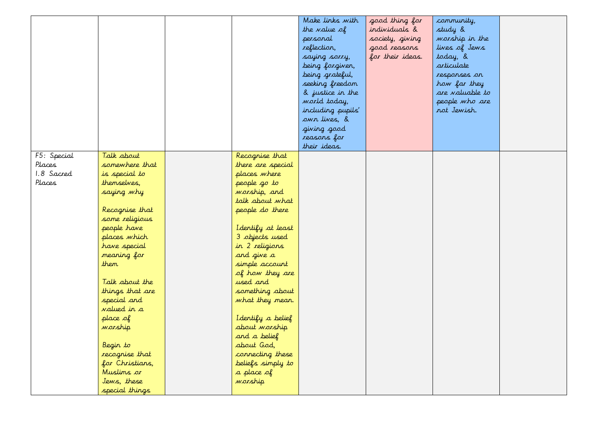|             |                    |                    | Make links with<br>the value of<br>personal | good thing for<br>individuals &<br>society, giving | community,<br>study &<br>worship in the |  |
|-------------|--------------------|--------------------|---------------------------------------------|----------------------------------------------------|-----------------------------------------|--|
|             |                    |                    | reflection,                                 | good reasons                                       | lives of Jews                           |  |
|             |                    |                    | saying sorry,                               | for their ideas.                                   | today, &                                |  |
|             |                    |                    | being forgiven,                             |                                                    | articulate                              |  |
|             |                    |                    | being grateful,                             |                                                    | responses on                            |  |
|             |                    |                    | seeking freedom                             |                                                    | how far they                            |  |
|             |                    |                    | & justice in the                            |                                                    | are valuable to                         |  |
|             |                    |                    | world today,                                |                                                    | people who are                          |  |
|             |                    |                    | including pupils'                           |                                                    | not Jewish.                             |  |
|             |                    |                    | own lives, &                                |                                                    |                                         |  |
|             |                    |                    | giving good                                 |                                                    |                                         |  |
|             |                    |                    | reasons for                                 |                                                    |                                         |  |
|             |                    |                    | their ideas.                                |                                                    |                                         |  |
| F5: Special | Talk about         | Recognise that     |                                             |                                                    |                                         |  |
| Places      | somewhere that     | there are special  |                                             |                                                    |                                         |  |
| 1.8 Sacred  | is special to      | places where       |                                             |                                                    |                                         |  |
| Places      | themselves,        | people go to       |                                             |                                                    |                                         |  |
|             | saying why         | warship, and       |                                             |                                                    |                                         |  |
|             |                    | talk about what    |                                             |                                                    |                                         |  |
|             | Recognise that     | people do there    |                                             |                                                    |                                         |  |
|             | some religious     |                    |                                             |                                                    |                                         |  |
|             | people have        | I dentify at least |                                             |                                                    |                                         |  |
|             | places which       | 3 objects used     |                                             |                                                    |                                         |  |
|             | have special       | in 2 religions     |                                             |                                                    |                                         |  |
|             | meaning for        | and give a         |                                             |                                                    |                                         |  |
|             | them               | simple account     |                                             |                                                    |                                         |  |
|             |                    | of how they are    |                                             |                                                    |                                         |  |
|             | Talk about the     | used and           |                                             |                                                    |                                         |  |
|             | things that are    | something about    |                                             |                                                    |                                         |  |
|             | special and        | what they mean.    |                                             |                                                    |                                         |  |
|             | <i>valued in a</i> |                    |                                             |                                                    |                                         |  |
|             | place of           | I dentify a belief |                                             |                                                    |                                         |  |
|             | warship            | about worship      |                                             |                                                    |                                         |  |
|             |                    | and a belief       |                                             |                                                    |                                         |  |
|             | Begin to           | about God,         |                                             |                                                    |                                         |  |
|             | recognise that     | connecting these   |                                             |                                                    |                                         |  |
|             | for Christians,    | beliefs simply to  |                                             |                                                    |                                         |  |
|             | Muslims or         | a place of         |                                             |                                                    |                                         |  |
|             | Jews, these        | warship            |                                             |                                                    |                                         |  |
|             | special things     |                    |                                             |                                                    |                                         |  |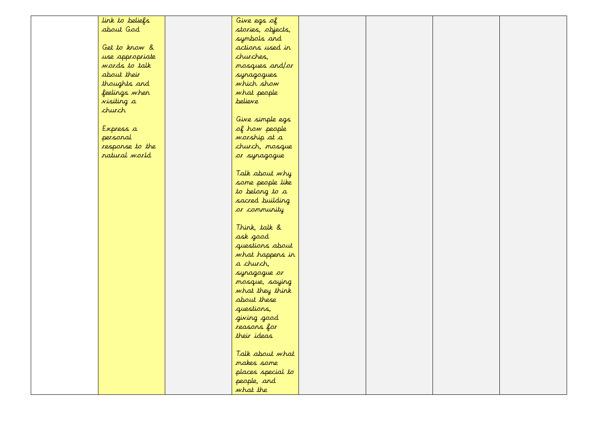| link to beliefs   | Give egs of       |  |  |
|-------------------|-------------------|--|--|
| about God         | stories, objects, |  |  |
|                   | symbols and       |  |  |
| Get to know &     | actions used in   |  |  |
| use appropriate   | churches,         |  |  |
| words to talk     | mosques and/or    |  |  |
| about their       | synagogues        |  |  |
| thoughts and      | which show        |  |  |
| feelings when     | what people       |  |  |
| <i>visiting a</i> | believe           |  |  |
| church            |                   |  |  |
|                   | Give simple egs   |  |  |
| Express a         | of how people     |  |  |
| personal          | warship at a      |  |  |
| response to the   | church, mosque    |  |  |
| natural world     | or synagogue      |  |  |
|                   |                   |  |  |
|                   | Talk about why    |  |  |
|                   | some people like  |  |  |
|                   | to belong to a    |  |  |
|                   | sacred building   |  |  |
|                   | or community      |  |  |
|                   | Think, talk &     |  |  |
|                   | ask good          |  |  |
|                   | questions about   |  |  |
|                   | what happens in   |  |  |
|                   | a church,         |  |  |
|                   | syragogue or      |  |  |
|                   | mosque, saying    |  |  |
|                   | what they think   |  |  |
|                   | about these       |  |  |
|                   | questions,        |  |  |
|                   | giving good       |  |  |
|                   | reasons for       |  |  |
|                   | their ideas       |  |  |
|                   |                   |  |  |
|                   | Talk about what   |  |  |
|                   | makes some        |  |  |
|                   | places special to |  |  |
|                   | people, and       |  |  |
|                   | what the          |  |  |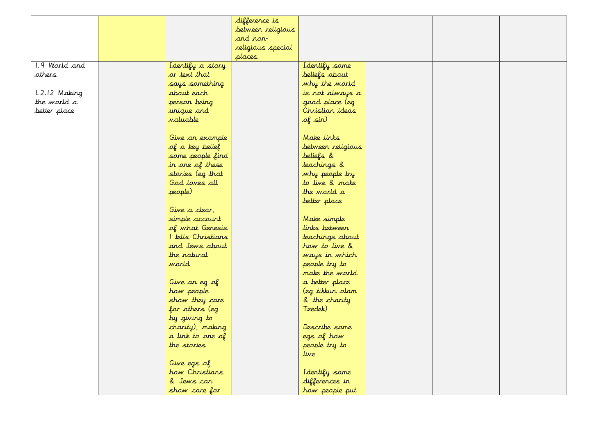|               |                    | difference is     |                   |  |  |
|---------------|--------------------|-------------------|-------------------|--|--|
|               |                    | between religious |                   |  |  |
|               |                    | and non-          |                   |  |  |
|               |                    | religious special |                   |  |  |
|               |                    | places.           |                   |  |  |
| 1.9 World and | Identify a story   |                   | I dentify some    |  |  |
| others        | or text that       |                   | beliefs about     |  |  |
|               | says something     |                   | why the world     |  |  |
| L2.12 Making  | about each         |                   | is not always a   |  |  |
| the world a   | person being       |                   | good place (eg    |  |  |
| better place  | unique and         |                   | Christian ideas   |  |  |
|               | <i>valuable</i>    |                   | of sin)           |  |  |
|               |                    |                   |                   |  |  |
|               | Give an example    |                   | Make links        |  |  |
|               | of a key belief    |                   | between religious |  |  |
|               | some people find   |                   | beliefs &         |  |  |
|               | in one of these    |                   | teachings &       |  |  |
|               | stories (eg that   |                   | why people try    |  |  |
|               | God loves all      |                   | to live & make    |  |  |
|               | people)            |                   | the world a       |  |  |
|               |                    |                   | better place      |  |  |
|               | Give a clear,      |                   |                   |  |  |
|               | simple account     |                   | Make simple       |  |  |
|               | of what Genesis    |                   | links between     |  |  |
|               | I tells Christians |                   | teachings about   |  |  |
|               | and Jews about     |                   | how to live &     |  |  |
|               | the natural        |                   | ways in which     |  |  |
|               | world              |                   | people try to     |  |  |
|               |                    |                   | make the world    |  |  |
|               | Give an eg of      |                   | a better place    |  |  |
|               | how people         |                   | (eg tikkun olam   |  |  |
|               | show they care     |                   | & the charity     |  |  |
|               | for others (eg     |                   | Tzedek)           |  |  |
|               | by giving to       |                   |                   |  |  |
|               | charity), making   |                   | Describe some     |  |  |
|               | a link to one of   |                   | egs of how        |  |  |
|               | the stories        |                   | people try to     |  |  |
|               |                    |                   | live              |  |  |
|               | Give egs of        |                   |                   |  |  |
|               | how Christians     |                   | I dentify some    |  |  |
|               | & Jews can         |                   | differences in    |  |  |
|               | show care for      |                   | how people put    |  |  |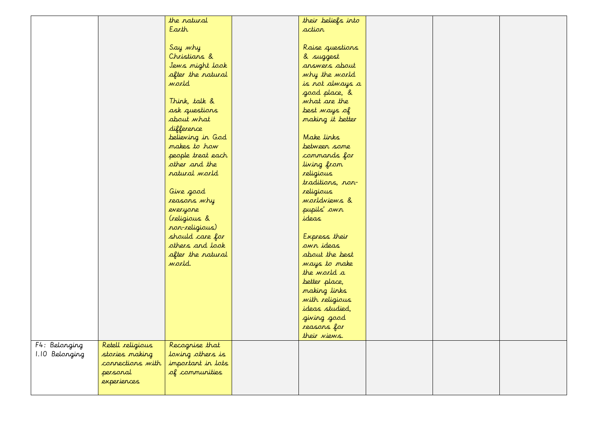|                |                  | the natural       | their beliefs into  |  |  |
|----------------|------------------|-------------------|---------------------|--|--|
|                |                  | Earth             | action              |  |  |
|                |                  |                   |                     |  |  |
|                |                  | Say why           | Raise questions     |  |  |
|                |                  | Christians &      | & suggest           |  |  |
|                |                  | Jews might look   | answers about       |  |  |
|                |                  | after the natural | why the world       |  |  |
|                |                  | world             | is not always a     |  |  |
|                |                  |                   | good place, &       |  |  |
|                |                  | Think, talk &     | what are the        |  |  |
|                |                  | ask questions     | best ways of        |  |  |
|                |                  | about what        | making it better    |  |  |
|                |                  | difference        |                     |  |  |
|                |                  | believing in God  | Make links          |  |  |
|                |                  | makes to how      | between some        |  |  |
|                |                  | people treat each | commands for        |  |  |
|                |                  | other and the     | living from         |  |  |
|                |                  | natural world     | religious           |  |  |
|                |                  |                   | traditions, non-    |  |  |
|                |                  | Give good         | religious           |  |  |
|                |                  | reasons why       | <i>morldviews</i> & |  |  |
|                |                  | everyone          | pupils' own         |  |  |
|                |                  | (religious &      | ideas               |  |  |
|                |                  | non-religious)    |                     |  |  |
|                |                  | should care for   | Express their       |  |  |
|                |                  | others and look   | own ideas           |  |  |
|                |                  | after the natural | about the best      |  |  |
|                |                  | world.            | ways to make        |  |  |
|                |                  |                   | the world a         |  |  |
|                |                  |                   | better place,       |  |  |
|                |                  |                   | making links        |  |  |
|                |                  |                   | with religious      |  |  |
|                |                  |                   | ideas studied,      |  |  |
|                |                  |                   | giving good         |  |  |
|                |                  |                   | reasons for         |  |  |
|                |                  |                   | their views.        |  |  |
| F4: Belonging  | Retell religious | Recognise that    |                     |  |  |
| 1.10 Belonging | stories making   | loving others is  |                     |  |  |
|                | connections with | important in lots |                     |  |  |
|                | personal         | of communities    |                     |  |  |
|                | experiences      |                   |                     |  |  |
|                |                  |                   |                     |  |  |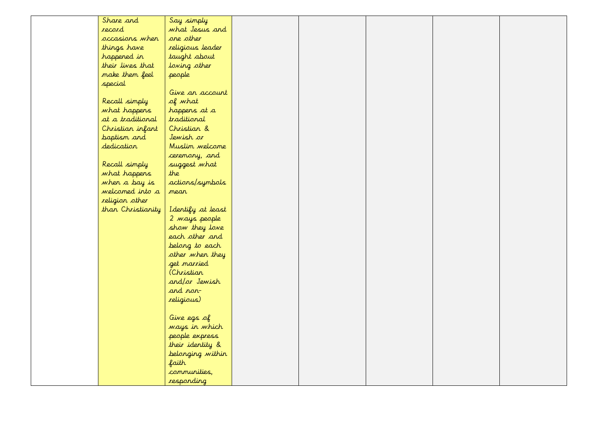| Share and<br>Say simply                |  |
|----------------------------------------|--|
| record<br>what Jesus and               |  |
| one other<br>occasions when            |  |
| things have<br>religious leader        |  |
| taught about<br>happened in            |  |
| their lives that<br>loving other       |  |
| make them feel<br>people               |  |
| special                                |  |
| Give an account                        |  |
| Recall simply<br>of what               |  |
| what happens<br>happens at a           |  |
| traditional<br>at a traditional        |  |
| Christian &<br>Christian infant        |  |
| baptism and<br>Jewish or               |  |
| dedication<br>Muslim welcome           |  |
| ceremony, and                          |  |
| Recall simply<br>suggest what          |  |
| what happens<br>the                    |  |
| actions/symbols<br>when a bay is       |  |
| welcomed into a<br>mean                |  |
| religion other                         |  |
| than Christianity<br>Identify at least |  |
| 2 <i>mays</i> people                   |  |
| show they love                         |  |
| each other and                         |  |
| belong to each                         |  |
| other when they                        |  |
| get married                            |  |
| (Christian                             |  |
| and/or Jewish                          |  |
| and non-                               |  |
| religious)                             |  |
|                                        |  |
| Give egs of                            |  |
| ways in which<br>people express        |  |
| their identity &                       |  |
| belonging within                       |  |
| faith                                  |  |
| communities,                           |  |
| responding                             |  |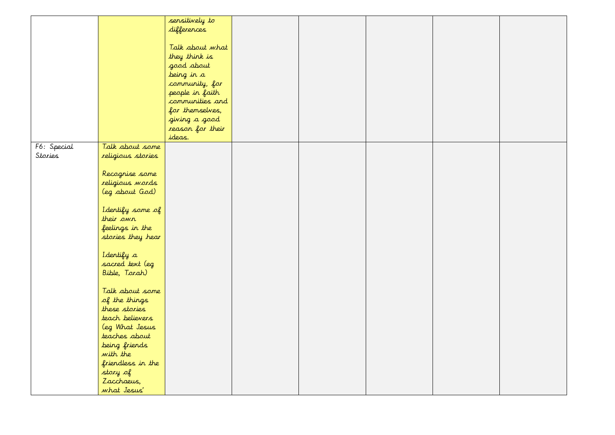|             |                   | sensitively to             |  |  |  |
|-------------|-------------------|----------------------------|--|--|--|
|             |                   | differences                |  |  |  |
|             |                   |                            |  |  |  |
|             |                   | Talk about what            |  |  |  |
|             |                   | they think is              |  |  |  |
|             |                   | good about                 |  |  |  |
|             |                   | being in a                 |  |  |  |
|             |                   | community, for             |  |  |  |
|             |                   | people in faith            |  |  |  |
|             |                   | communities and            |  |  |  |
|             |                   |                            |  |  |  |
|             |                   | for themselves,            |  |  |  |
|             |                   | giving a good              |  |  |  |
|             |                   | reason for their<br>ideas. |  |  |  |
|             |                   |                            |  |  |  |
| F6: Special | Talk about some   |                            |  |  |  |
| Stories     | religious stories |                            |  |  |  |
|             |                   |                            |  |  |  |
|             | Recognise some    |                            |  |  |  |
|             | religious words   |                            |  |  |  |
|             | (eg about God)    |                            |  |  |  |
|             |                   |                            |  |  |  |
|             | Identify some of  |                            |  |  |  |
|             | their own         |                            |  |  |  |
|             | feelings in the   |                            |  |  |  |
|             | stories they hear |                            |  |  |  |
|             |                   |                            |  |  |  |
|             | Identify a        |                            |  |  |  |
|             | sacred text (eg   |                            |  |  |  |
|             | Bible, Torah)     |                            |  |  |  |
|             |                   |                            |  |  |  |
|             | Talk about some   |                            |  |  |  |
|             | of the things     |                            |  |  |  |
|             | these stories     |                            |  |  |  |
|             | teach believers   |                            |  |  |  |
|             | leg What Jesus    |                            |  |  |  |
|             | teaches about     |                            |  |  |  |
|             | being friends     |                            |  |  |  |
|             | with the          |                            |  |  |  |
|             | friendless in the |                            |  |  |  |
|             | story of          |                            |  |  |  |
|             | Zacchaeus,        |                            |  |  |  |
|             | what Jesus'       |                            |  |  |  |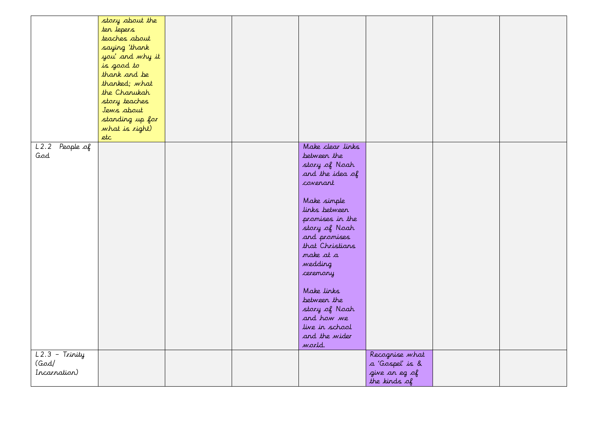|                                           | story about the<br>ten lepers<br>teaches about<br>saying 'thank<br>you' and why it<br>is good to<br>thank and be<br>thanked; what<br>the Chanukah<br>story teaches<br>Jews about<br>standing up for<br>what is right)<br>etc |  |                                                                                                                                                                                                                                                                                                                                     |                                                                    |  |
|-------------------------------------------|------------------------------------------------------------------------------------------------------------------------------------------------------------------------------------------------------------------------------|--|-------------------------------------------------------------------------------------------------------------------------------------------------------------------------------------------------------------------------------------------------------------------------------------------------------------------------------------|--------------------------------------------------------------------|--|
| $\overline{L2.2}$ People of<br>God        |                                                                                                                                                                                                                              |  | Make clear links<br>between the<br>story of Noah<br>and the idea of<br>coverant<br>Make simple<br>links between<br>promises in the<br>story of Noah<br>and promises<br>that Christians<br>make at a<br>wedding<br>ceremony<br>Make links<br>between the<br>story of Noah<br>and how we<br>live in school<br>and the wider<br>world. |                                                                    |  |
| $L2.3$ - Trinity<br>(God/<br>Incarnation) |                                                                                                                                                                                                                              |  |                                                                                                                                                                                                                                                                                                                                     | Recognise what<br>a 'Gospel' is &<br>give an eg of<br>the kinds of |  |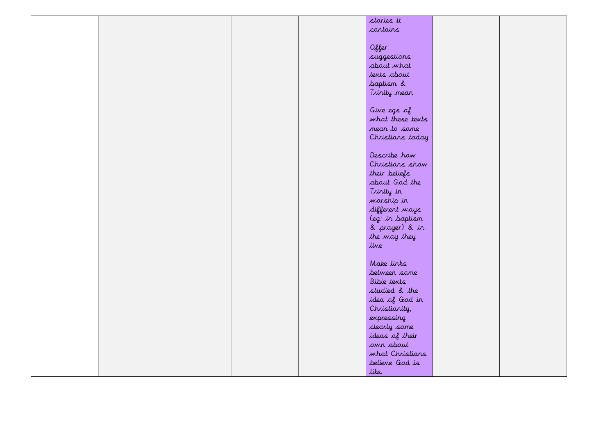|  | stories it         |  |
|--|--------------------|--|
|  |                    |  |
|  | contains           |  |
|  |                    |  |
|  | Offer              |  |
|  | suggestions        |  |
|  | about what         |  |
|  |                    |  |
|  | texts about        |  |
|  | baptism &          |  |
|  | Trinity mean       |  |
|  |                    |  |
|  | Give egs of        |  |
|  | what these texts   |  |
|  | mean to some       |  |
|  |                    |  |
|  | Christians today   |  |
|  |                    |  |
|  | Describe how       |  |
|  | Christians show    |  |
|  | their beliefs      |  |
|  | about God the      |  |
|  |                    |  |
|  | Trinity in         |  |
|  | warship in         |  |
|  | different ways     |  |
|  | (eg: in baptism    |  |
|  | & prayer) & in     |  |
|  | the way they       |  |
|  | live               |  |
|  |                    |  |
|  |                    |  |
|  | Make links         |  |
|  | between some       |  |
|  | <b>Bible texts</b> |  |
|  | studied & the      |  |
|  | idea of God in     |  |
|  | Christianity,      |  |
|  | expressing         |  |
|  |                    |  |
|  | clearly some       |  |
|  | ideas of their     |  |
|  | own about          |  |
|  | what Christians    |  |
|  | believe God is     |  |
|  | like.              |  |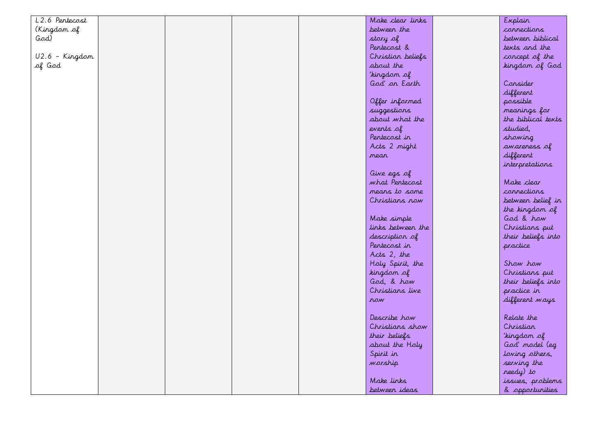| L2.6 Pentecost   |  |  | Make clear links  | Explain            |
|------------------|--|--|-------------------|--------------------|
| (Kingdam of      |  |  | between the       | connections        |
| God)             |  |  | story of          | between biblical   |
|                  |  |  | Pentecost &       | texts and the      |
| $U2.6 - Kingdom$ |  |  | Christian beliefs | concept of the     |
| of God           |  |  | about the         | kingdam of God     |
|                  |  |  | 'kingdam of       |                    |
|                  |  |  | God' on Earth     | Consider           |
|                  |  |  |                   | different          |
|                  |  |  | Offer informed    | possible           |
|                  |  |  | suggestions       | meanings for       |
|                  |  |  | about what the    | the biblical texts |
|                  |  |  | events of         | studied,           |
|                  |  |  | Pentecost in      | showing            |
|                  |  |  | Acts 2 might      | awareness of       |
|                  |  |  | <i>mean</i>       | different          |
|                  |  |  |                   | interpretations    |
|                  |  |  | Give egs of       |                    |
|                  |  |  | what Pentecost    | Make clear         |
|                  |  |  | means to some     | connections        |
|                  |  |  | Christians now    | between belief in  |
|                  |  |  |                   | the kingdom of     |
|                  |  |  | Make simple       | God & how          |
|                  |  |  | links between the | Christians put     |
|                  |  |  | description of    | their beliefs into |
|                  |  |  | Pentecost in      | practice           |
|                  |  |  | Acts 2, the       |                    |
|                  |  |  | Holy Spirit, the  | Show how           |
|                  |  |  | kingdam of        | Christians put     |
|                  |  |  | God, & how        | their beliefs into |
|                  |  |  | Christians live   | practice in        |
|                  |  |  | row               | different ways     |
|                  |  |  |                   |                    |
|                  |  |  | Describe how      | Relate the         |
|                  |  |  | Christians show   | Christian          |
|                  |  |  | their beliefs     | 'kingdan of        |
|                  |  |  | about the Holy    | God' model (eg     |
|                  |  |  | Spirit in         | loving others,     |
|                  |  |  | warship           | serving the        |
|                  |  |  |                   | needy) to          |
|                  |  |  | Make links        | issues, problems   |
|                  |  |  | between ideas     | & opportunities    |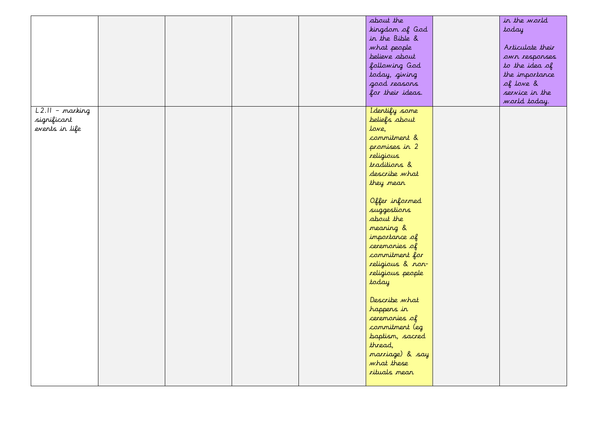|                   |  |  | about the        | in the world     |
|-------------------|--|--|------------------|------------------|
|                   |  |  | kingdam of God   | today            |
|                   |  |  | in the Bible &   |                  |
|                   |  |  | what people      | Articulate their |
|                   |  |  | believe about    | own responses    |
|                   |  |  | following God    | to the idea of   |
|                   |  |  | today, giving    | the importance   |
|                   |  |  | good reasons     | of love &        |
|                   |  |  | for their ideas. | service in the   |
|                   |  |  |                  | world today.     |
| $L2.II - marking$ |  |  | I dentify some   |                  |
| significant       |  |  | beliefs about    |                  |
| events in life    |  |  | lowe,            |                  |
|                   |  |  | commitment &     |                  |
|                   |  |  | promises in 2    |                  |
|                   |  |  | religious        |                  |
|                   |  |  | traditions &     |                  |
|                   |  |  | describe what    |                  |
|                   |  |  | they mean        |                  |
|                   |  |  |                  |                  |
|                   |  |  | Offer informed   |                  |
|                   |  |  | suggestions      |                  |
|                   |  |  | about the        |                  |
|                   |  |  | meaning &        |                  |
|                   |  |  | importance of    |                  |
|                   |  |  | ceremonies of    |                  |
|                   |  |  | commitment for   |                  |
|                   |  |  | religious & non- |                  |
|                   |  |  | religious people |                  |
|                   |  |  | today            |                  |
|                   |  |  |                  |                  |
|                   |  |  | Describe what    |                  |
|                   |  |  | happens in       |                  |
|                   |  |  | ceremonies of    |                  |
|                   |  |  | commitment (eg   |                  |
|                   |  |  | baptism, sacred  |                  |
|                   |  |  | thread,          |                  |
|                   |  |  | marriage) & say  |                  |
|                   |  |  | what these       |                  |
|                   |  |  | rituals mean     |                  |
|                   |  |  |                  |                  |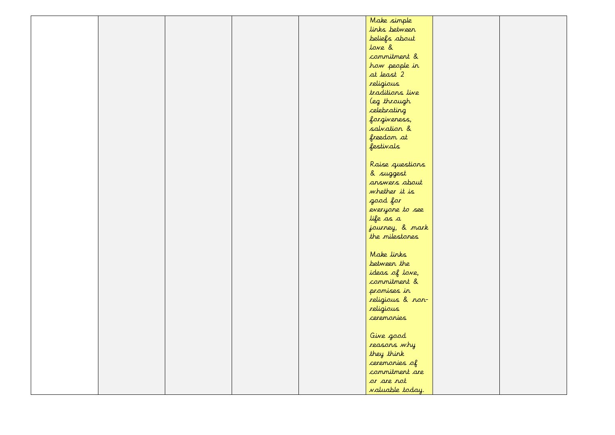|  |  | Make simple            |  |
|--|--|------------------------|--|
|  |  | links between          |  |
|  |  | beliefs about          |  |
|  |  | love &                 |  |
|  |  | commitment &           |  |
|  |  | how people in          |  |
|  |  | at least 2             |  |
|  |  | religious              |  |
|  |  | traditions live        |  |
|  |  | (eg through            |  |
|  |  | celebrating            |  |
|  |  | forgiveness,           |  |
|  |  | salvation &            |  |
|  |  | freedom at             |  |
|  |  | festivals              |  |
|  |  |                        |  |
|  |  | Raise questions        |  |
|  |  | & suggest              |  |
|  |  | answers about          |  |
|  |  | whether it is          |  |
|  |  | good for               |  |
|  |  | everyone to see        |  |
|  |  | life as a              |  |
|  |  | journey, & mark        |  |
|  |  | the milestones         |  |
|  |  |                        |  |
|  |  | Make links             |  |
|  |  | between the            |  |
|  |  | ideas of love,         |  |
|  |  | commitment &           |  |
|  |  | promises in            |  |
|  |  | religious & non-       |  |
|  |  | religious              |  |
|  |  | ceremonies             |  |
|  |  |                        |  |
|  |  | Give good              |  |
|  |  | reasons why            |  |
|  |  | they think             |  |
|  |  | ceremonies of          |  |
|  |  | commitment are         |  |
|  |  | or are not             |  |
|  |  | <i>valuable today.</i> |  |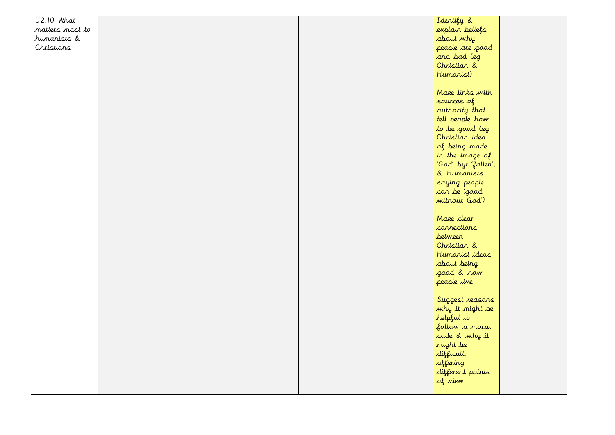| <b>U2.10 What</b> |  |  | Identify &                      |  |
|-------------------|--|--|---------------------------------|--|
| matters most to   |  |  | explain beliefs                 |  |
| humanists &       |  |  | about why                       |  |
| Christians        |  |  | people are good                 |  |
|                   |  |  | and bad (eg                     |  |
|                   |  |  | Christian &                     |  |
|                   |  |  | Humanist)                       |  |
|                   |  |  |                                 |  |
|                   |  |  | Make links with                 |  |
|                   |  |  | sources of                      |  |
|                   |  |  | authority that                  |  |
|                   |  |  | tell people how                 |  |
|                   |  |  | to be good (eg                  |  |
|                   |  |  | Christian idea                  |  |
|                   |  |  | of being made                   |  |
|                   |  |  | in the image of                 |  |
|                   |  |  | 'God' byt 'fallen',             |  |
|                   |  |  | & Humanists                     |  |
|                   |  |  | saying people                   |  |
|                   |  |  | can be 'good                    |  |
|                   |  |  | without God')                   |  |
|                   |  |  |                                 |  |
|                   |  |  | Make clear                      |  |
|                   |  |  | connections                     |  |
|                   |  |  | <i>between</i>                  |  |
|                   |  |  | Christian &                     |  |
|                   |  |  | Humanist ideas                  |  |
|                   |  |  | about being                     |  |
|                   |  |  | good & how                      |  |
|                   |  |  | people live                     |  |
|                   |  |  |                                 |  |
|                   |  |  | Suggest reasons                 |  |
|                   |  |  |                                 |  |
|                   |  |  | why it might be<br>helpful to   |  |
|                   |  |  |                                 |  |
|                   |  |  | follow a moral<br>code & why it |  |
|                   |  |  | might be                        |  |
|                   |  |  |                                 |  |
|                   |  |  | difficult,                      |  |
|                   |  |  | offering                        |  |
|                   |  |  | different points                |  |
|                   |  |  | of view                         |  |
|                   |  |  |                                 |  |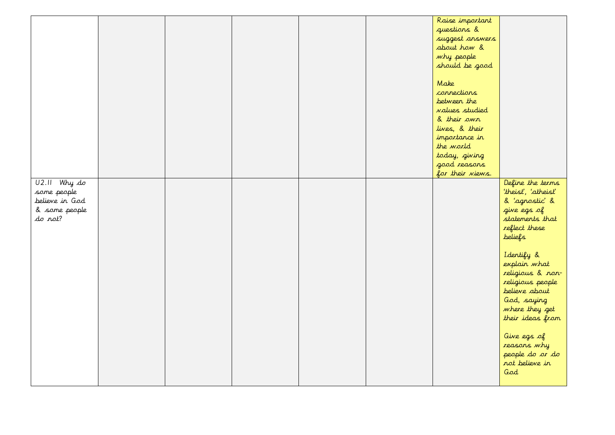|                                                           |  |  | Raise important<br>questions &<br>suggest answers<br>about how &<br>why people<br>should be good<br>Make<br>connections |                                                                                                                                          |
|-----------------------------------------------------------|--|--|-------------------------------------------------------------------------------------------------------------------------|------------------------------------------------------------------------------------------------------------------------------------------|
|                                                           |  |  | between the<br><i>values studied</i><br>& their own<br>lives, & their<br>importance in<br>the world                     |                                                                                                                                          |
| $U2.II$ Why $d\sigma$                                     |  |  | today, giving<br>good reasons<br>for their views.                                                                       | Define the terms                                                                                                                         |
| some people<br>believe in God<br>& some people<br>do rot? |  |  |                                                                                                                         | 'theist', 'atheist'<br>& 'agnostic' &<br>give egs of<br>statements that<br>reflect these<br>beliefs                                      |
|                                                           |  |  |                                                                                                                         | Identify &<br>explain what<br>religious & non-<br>religious people<br>believe about<br>God, saying<br>where they get<br>their ideas from |
|                                                           |  |  |                                                                                                                         | Give egs of<br>reasons why<br>people do or do<br>not believe in<br>God                                                                   |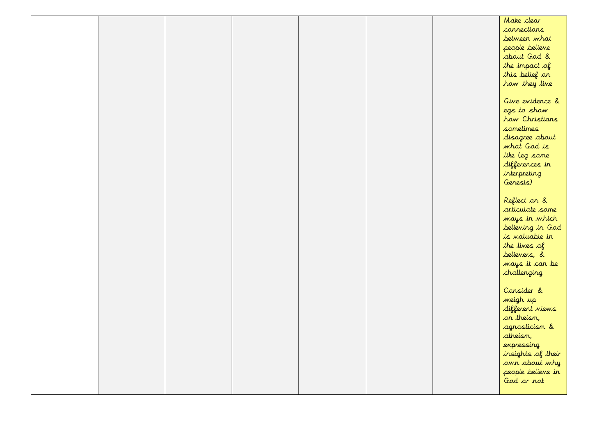|  |  |  | Make clear               |
|--|--|--|--------------------------|
|  |  |  | connections              |
|  |  |  | between what             |
|  |  |  | people believe           |
|  |  |  | about God &              |
|  |  |  | the impact $\mathcal{A}$ |
|  |  |  | this belief on           |
|  |  |  | how they live            |
|  |  |  |                          |
|  |  |  | Give evidence &          |
|  |  |  | egs to show              |
|  |  |  | how Christians           |
|  |  |  | sometimes                |
|  |  |  | disagree about           |
|  |  |  | what God is              |
|  |  |  | like (eg some            |
|  |  |  | differences in           |
|  |  |  | interpreting             |
|  |  |  | Genesis)                 |
|  |  |  |                          |
|  |  |  | Reflect on &             |
|  |  |  | articulate some          |
|  |  |  | ways in which            |
|  |  |  | believing in God         |
|  |  |  | is valuable in           |
|  |  |  | the lives of             |
|  |  |  | believers, &             |
|  |  |  | ways it can be           |
|  |  |  | challenging              |
|  |  |  |                          |
|  |  |  | Consider &               |
|  |  |  | weigh up                 |
|  |  |  | different views          |
|  |  |  | on theism,               |
|  |  |  | agnosticism &            |
|  |  |  | atheism,                 |
|  |  |  | expressing               |
|  |  |  | insights of their        |
|  |  |  | own about why            |
|  |  |  | people believe in        |
|  |  |  | God or not               |
|  |  |  |                          |
|  |  |  |                          |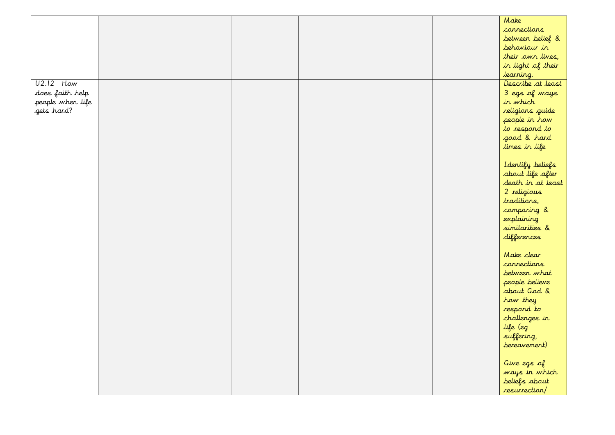|                  |  |  |  | Make              |
|------------------|--|--|--|-------------------|
|                  |  |  |  | connections       |
|                  |  |  |  | between belief &  |
|                  |  |  |  | behaviour in      |
|                  |  |  |  | their own lives,  |
|                  |  |  |  | in light of their |
|                  |  |  |  | learning.         |
| $U2.12$ How      |  |  |  | Describe at least |
| does faith help  |  |  |  | 3 egs of ways     |
| people when life |  |  |  | in which          |
| gets hard?       |  |  |  | religions guide   |
|                  |  |  |  | people in how     |
|                  |  |  |  | to respond to     |
|                  |  |  |  | good & hard       |
|                  |  |  |  | times in life     |
|                  |  |  |  |                   |
|                  |  |  |  | I dentify beliefs |
|                  |  |  |  | about life after  |
|                  |  |  |  | death in at least |
|                  |  |  |  | 2 religious       |
|                  |  |  |  | traditions,       |
|                  |  |  |  | comparing &       |
|                  |  |  |  | explaining        |
|                  |  |  |  | similarities &    |
|                  |  |  |  | differences       |
|                  |  |  |  |                   |
|                  |  |  |  | Make clear        |
|                  |  |  |  | connections       |
|                  |  |  |  | between what      |
|                  |  |  |  |                   |
|                  |  |  |  | people believe    |
|                  |  |  |  | about God &       |
|                  |  |  |  | how they          |
|                  |  |  |  | respond to        |
|                  |  |  |  | challenges in     |
|                  |  |  |  | life (eg          |
|                  |  |  |  | suffering,        |
|                  |  |  |  | bereavement)      |
|                  |  |  |  |                   |
|                  |  |  |  | Give egs of       |
|                  |  |  |  | ways in which     |
|                  |  |  |  | beliefs about     |
|                  |  |  |  | resurrection/     |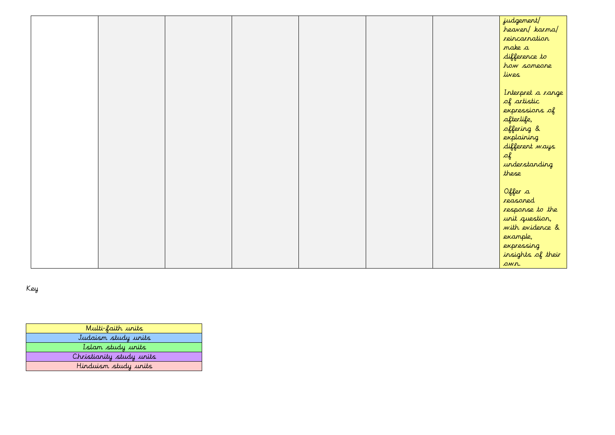|  |  |  | judgement/        |
|--|--|--|-------------------|
|  |  |  | heaven/ karma/    |
|  |  |  | reincarnation     |
|  |  |  | make a            |
|  |  |  | difference to     |
|  |  |  | how someone       |
|  |  |  | lives             |
|  |  |  |                   |
|  |  |  | Interpret a range |
|  |  |  | of artistic       |
|  |  |  | expressions of    |
|  |  |  | afterlife,        |
|  |  |  | offering &        |
|  |  |  | explaining        |
|  |  |  | different ways    |
|  |  |  | $\mathcal{A}$     |
|  |  |  | understanding     |
|  |  |  | these             |
|  |  |  |                   |
|  |  |  | Offer a           |
|  |  |  | reasoned          |
|  |  |  | response to the   |
|  |  |  | unit question,    |
|  |  |  | with evidence &   |
|  |  |  | example,          |
|  |  |  | expressing        |
|  |  |  | insights of their |
|  |  |  | own.              |

Key

| Multi-faith units        |
|--------------------------|
| Judaism study units      |
| Islam study units        |
| Christianity study units |
| Hinduism study units     |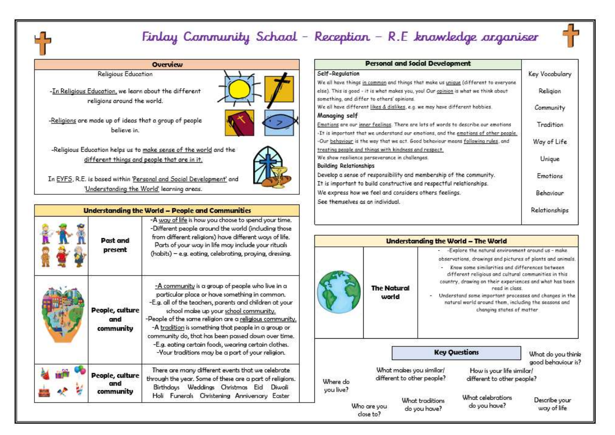#### Finlay Cammunity School - Reception - R.E knowledge arganiser

#### **Overview**

#### **Religious Education**

-In Religious Education, we learn about the different religions around the world.

-Religions are made up of ideas that a group of people believe in



-Religious Education helps us to make sense of the world and the different things and people that are in it.

In EYFS, R.E. is based within 'Personal and Social Development' and 'Understanding the World' learning areas.

|                                     | Understanding the World - People and Communities                                                                                                                                                                                                                                                                                                                                                                                                                                         |
|-------------------------------------|------------------------------------------------------------------------------------------------------------------------------------------------------------------------------------------------------------------------------------------------------------------------------------------------------------------------------------------------------------------------------------------------------------------------------------------------------------------------------------------|
| Past and<br>present                 | -A way of life is how you choose to spend your time.<br>-Different people around the world (including those<br>from different religions) have different ways of life.<br>Parts of your way in life may include your rituals<br>(habits) - e.g. eating, celebrating, praying, dressing.                                                                                                                                                                                                   |
| People, culture<br>and<br>community | -A community is a group of people who live in a<br>particular place or have something in common.<br>-E.g. all of the teachers, parents and children at your<br>school make up your school community.<br>-People of the same religion are a religious community.<br>-A tradition is something that people in a group or<br>community do, that has been passed down over time.<br>-E.g. eating certain foods, wearing certain clothes.<br>-Your traditions may be a part of your religion. |
| People, culture<br>and<br>community | There are many different events that we celebrate<br>through the year. Some of these are a part of religions.<br>Birthdays Weddings Christmas Eid<br>Diwali<br>Holi<br>Funerals Christening Anniversary<br>Easter                                                                                                                                                                                                                                                                        |

| <b>Personal and Social Development</b>                                              |                  |
|-------------------------------------------------------------------------------------|------------------|
| Self-Regulation                                                                     | Key Vocabulary   |
| We all have things in common and things that make us unique (different to everyone  |                  |
| else). This is good - it is what makes you, you! Our opinion is what we think about | Religion         |
| something, and differ to others' opinions.                                          |                  |
| We all have different likes & dislikes, e.g. we may have different hobbies.         | Community        |
| Managing self                                                                       |                  |
| Emotions are our inner feelings. There are lots of words to describe our emotions   | <b>Tradition</b> |
| -It is important that we understand our emotions, and the emotions of other people. |                  |
| -Our behaviour is the way that we act. Good behaviour means following rules, and    | Way of Life      |
| treating people and things with kindness and respect.                               |                  |
| We show resilience perseverance in challenges.                                      | Unique           |
| <b>Building Relationships</b>                                                       |                  |
| Develop a sense of responsibility and membership of the community.                  | Emotions         |
| It is important to build constructive and respectful relationships.                 |                  |
| We express how we feel and considers others feelings.                               | Behaviour        |
| See themselves as an individual.                                                    |                  |
|                                                                                     | Relationships    |
|                                                                                     |                  |